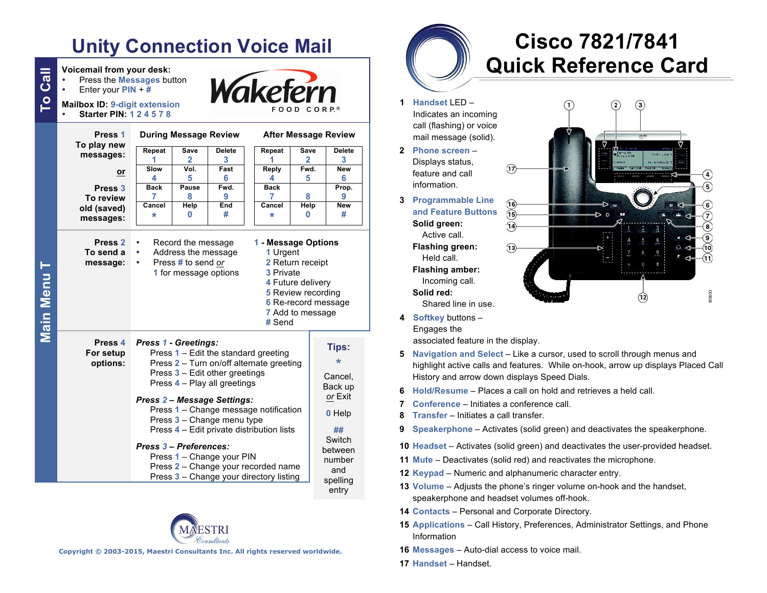# **Unity Connection Voice Mail**

| To Call   | Voicemail from your desk:<br>Press the Messages button<br>Enter your $PIN + #$<br><b>Mailbox ID: 9-digit extension</b><br><b>Starter PIN: 124578</b> | Wakefern<br>FOOD CORP.®                                                                                                                                                                                                                                                                                                                                                                                                                                                              |                      |               |  |                             |             |                                                                                                               |                     |  |  |
|-----------|------------------------------------------------------------------------------------------------------------------------------------------------------|--------------------------------------------------------------------------------------------------------------------------------------------------------------------------------------------------------------------------------------------------------------------------------------------------------------------------------------------------------------------------------------------------------------------------------------------------------------------------------------|----------------------|---------------|--|-----------------------------|-------------|---------------------------------------------------------------------------------------------------------------|---------------------|--|--|
|           | Press <sub>1</sub><br>To play new<br>messages:                                                                                                       | <b>During Message Review</b>                                                                                                                                                                                                                                                                                                                                                                                                                                                         |                      |               |  | <b>After Message Review</b> |             |                                                                                                               |                     |  |  |
|           |                                                                                                                                                      | Repeat                                                                                                                                                                                                                                                                                                                                                                                                                                                                               | <b>Save</b>          | <b>Delete</b> |  | Repeat                      | Save        |                                                                                                               | <b>Delete</b>       |  |  |
|           |                                                                                                                                                      | 1<br>Slow                                                                                                                                                                                                                                                                                                                                                                                                                                                                            | $\mathbf{2}$<br>Vol. | 3<br>Fast     |  | 1<br>Reply                  | 2<br>Fwd.   |                                                                                                               | 3<br><b>New</b>     |  |  |
|           | or                                                                                                                                                   | 4                                                                                                                                                                                                                                                                                                                                                                                                                                                                                    | 5                    | 6             |  | 4                           | 5           |                                                                                                               | 6                   |  |  |
|           | Press <sub>3</sub><br>To review                                                                                                                      | <b>Back</b><br>7                                                                                                                                                                                                                                                                                                                                                                                                                                                                     | Pause<br>8           | Fwd.<br>9     |  | <b>Back</b><br>7            | 8           |                                                                                                               | Prop.<br>9          |  |  |
|           | old (saved)                                                                                                                                          | Cancel                                                                                                                                                                                                                                                                                                                                                                                                                                                                               | Help                 | End           |  | Cancel                      | <b>Help</b> |                                                                                                               | <b>New</b>          |  |  |
|           | messages:                                                                                                                                            | $\star$                                                                                                                                                                                                                                                                                                                                                                                                                                                                              | 0                    | #             |  | *                           | 0           |                                                                                                               | #                   |  |  |
| Main Menu | Press <sub>2</sub><br>To send a<br>message:                                                                                                          | Record the message<br>1 - Message Options<br>٠<br>Address the message<br>1 Urgent<br>٠<br>Press # to send or<br>2 Return receipt<br>$\bullet$<br>1 for message options<br>3 Private<br>4 Future delivery<br><b>5</b> Review recording<br>7 Add to message<br># Send                                                                                                                                                                                                                  |                      |               |  |                             |             |                                                                                                               | 6 Re-record message |  |  |
|           | Press 4<br>For setup<br>options:                                                                                                                     | <b>Press 1 - Greetings:</b><br>Press 1 - Edit the standard greeting<br>Press 2 - Turn on/off alternate greeting<br>Press 3 - Edit other greetings<br>Press 4 - Play all greetings<br><b>Press 2 - Message Settings:</b><br>Press 1 - Change message notification<br>Press 3 - Change menu type<br>Press 4 - Edit private distribution lists<br>Press 3 – Preferences:<br>Press 1 - Change your PIN<br>Press 2 - Change your recorded name<br>Press 3 - Change your directory listing |                      |               |  |                             |             | Tips:<br>∗<br>Cancel.<br>Back up<br>or Exit<br>0 Help<br>##<br>Switch<br>between<br>number<br>and<br>spelling |                     |  |  |



**Copyright © 2003-2015, Maestri Consultants Inc. All rights reserved worldwide.**

# **Cisco 7821/7841 Quick Reference Card**

- **1 Handset** LED Indicates an incoming call (flashing) or voice mail message (solid).
- **2 Phone screen** Displays status, feature and call information.
- **3 Programmable Line and Feature Buttons Solid green:** Active call. **Flashing green:** Held call. **Flashing amber:** Incoming call. **Solid red:** Shared line in use.



- **4 Softkey** buttons Engages the associated feature in the display.
- **5 Navigation and Select** Like a cursor, used to scroll through menus and highlight active calls and features. While on-hook, arrow up displays Placed Call History and arrow down displays Speed Dials.
- **6 Hold/Resume** Places a call on hold and retrieves a held call.
- **7 Conference** Initiates a conference call.
- **8 Transfer** Initiates a call transfer.
- **9 Speakerphone** Activates (solid green) and deactivates the speakerphone.
- **10 Headset** Activates (solid green) and deactivates the user-provided headset.
- **11 Mute** Deactivates (solid red) and reactivates the microphone.
- **12 Keypad** Numeric and alphanumeric character entry.
- **13 Volume** Adjusts the phone's ringer volume on-hook and the handset, speakerphone and headset volumes off-hook.
- **14 Contacts** Personal and Corporate Directory.
- **15 Applications** Call History, Preferences, Administrator Settings, and Phone Information
- **16 Messages** Auto-dial access to voice mail.
- **17 Handset** Handset.

**Main Menu Main Menu T**